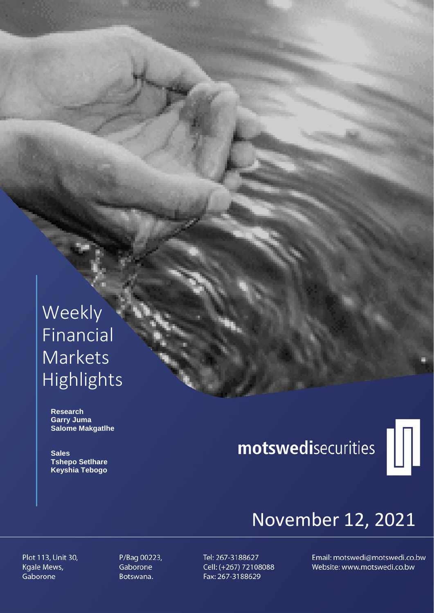# Weekly Financial Markets Highlights

 **Research Garry Juma Salome Makgatlhe**

 **Sales Tshepo Setlhare Keyshia Tebogo**

# motswedisecurities



# November 12, 2021

Plot 113, Unit 30, Kgale Mews, Gaborone

P/Bag 00223, Gaborone Botswana.

Tel: 267-3188627 Cell: (+267) 72108088 Fax: 267-3188629

Email: motswedi@motswedi.co.bw Website: www.motswedi.co.bw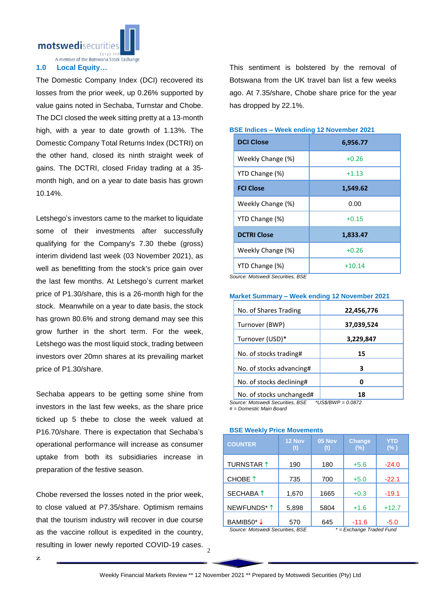

A member of the Botswana Stock Exchange

# **1.0 Local Equity…**

The Domestic Company Index (DCI) recovered its losses from the prior week, up 0.26% supported by value gains noted in Sechaba, Turnstar and Chobe. The DCI closed the week sitting pretty at a 13-month high, with a year to date growth of 1.13%. The Domestic Company Total Returns Index (DCTRI) on the other hand, closed its ninth straight week of gains. The DCTRI, closed Friday trading at a 35 month high, and on a year to date basis has grown 10.14%.

Letshego's investors came to the market to liquidate some of their investments after successfully qualifying for the Company's 7.30 thebe (gross) interim dividend last week (03 November 2021), as well as benefitting from the stock's price gain over the last few months. At Letshego's current market price of P1.30/share, this is a 26-month high for the stock. Meanwhile on a year to date basis, the stock has grown 80.6% and strong demand may see this grow further in the short term. For the week, Letshego was the most liquid stock, trading between investors over 20mn shares at its prevailing market price of P1.30/share.

Sechaba appears to be getting some shine from investors in the last few weeks, as the share price ticked up 5 thebe to close the week valued at P16.70/share. There is expectation that Sechaba's operational performance will increase as consumer uptake from both its subsidiaries increase in preparation of the festive season.

resulting in lower newly reported COVID-19 cases.  $\frac{2}{2}$ Chobe reversed the losses noted in the prior week, to close valued at P7.35/share. Optimism remains that the tourism industry will recover in due course as the vaccine rollout is expedited in the country,

This sentiment is bolstered by the removal of Botswana from the UK travel ban list a few weeks ago. At 7.35/share, Chobe share price for the year has dropped by 22.1%.

| <b>DCI Close</b>                                 | 6,956.77 |  |  |
|--------------------------------------------------|----------|--|--|
| Weekly Change (%)                                | $+0.26$  |  |  |
| YTD Change (%)                                   | $+1.13$  |  |  |
| <b>FCI Close</b>                                 | 1,549.62 |  |  |
| Weekly Change (%)                                | 0.00     |  |  |
| YTD Change (%)                                   | $+0.15$  |  |  |
| <b>DCTRI Close</b>                               | 1,833.47 |  |  |
| Weekly Change (%)                                | $+0.26$  |  |  |
| YTD Change (%)<br>Course Motowed: Coourities DCE | $+10.14$ |  |  |

# **BSE Indices – Week ending 12 November 2021**

*Source: Motswedi Securities, BSE*

#### **Market Summary – Week ending 12 November 2021**

| No. of Shares Trading    | 22,456,776 |
|--------------------------|------------|
| Turnover (BWP)           | 37,039,524 |
| Turnover (USD)*          | 3,229,847  |
| No. of stocks trading#   | 15         |
| No. of stocks advancing# | з          |
| No. of stocks declining# |            |
| No. of stocks unchanged# | 18         |

*Source: Motswedi Securities, BSE \*US\$/BWP = 0.0872*

*# = Domestic Main Board*

#### **BSE Weekly Price Movements**

| <b>COUNTER</b>                   | 12 Nov<br>(t) | 05 Nov<br>(t)            | <b>Change</b><br>(%) | YTD<br>$(\% )$ |  |
|----------------------------------|---------------|--------------------------|----------------------|----------------|--|
| TURNSTAR 1                       | 190           | 180                      | $+5.6$               | $-24.0$        |  |
| CHOBE 1                          | 735           | 700                      | $+5.0$               | $-22.1$        |  |
| SECHABA 1                        | 1,670         | 1665                     | $+0.3$               | $-19.1$        |  |
| NEWFUNDS*1                       | 5,898         | 5804                     | $+1.6$               | $+12.7$        |  |
| BAMIB50*↓                        | 570           | 645                      | $-11.6$              | $-5.0$         |  |
| Source: Motswedi Securities, BSF |               | * = Exchange Traded Fund |                      |                |  |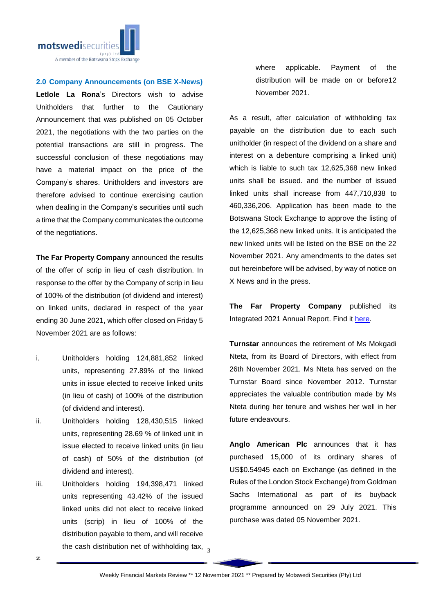

## **2.0 Company Announcements (on BSE X-News)**

**Letlole La Rona**'s Directors wish to advise Unitholders that further to the Cautionary Announcement that was published on 05 October 2021, the negotiations with the two parties on the potential transactions are still in progress. The successful conclusion of these negotiations may have a material impact on the price of the Company's shares. Unitholders and investors are therefore advised to continue exercising caution when dealing in the Company's securities until such a time that the Company communicates the outcome of the negotiations.

**The Far Property Company** announced the results of the offer of scrip in lieu of cash distribution. In response to the offer by the Company of scrip in lieu of 100% of the distribution (of dividend and interest) on linked units, declared in respect of the year ending 30 June 2021, which offer closed on Friday 5 November 2021 are as follows:

- i. Unitholders holding 124,881,852 linked units, representing 27.89% of the linked units in issue elected to receive linked units (in lieu of cash) of 100% of the distribution (of dividend and interest).
- ii. Unitholders holding 128,430,515 linked units, representing 28.69 % of linked unit in issue elected to receive linked units (in lieu of cash) of 50% of the distribution (of dividend and interest).
- the cash distribution net of withholding tax,  $\frac{3}{3}$ iii. Unitholders holding 194,398,471 linked units representing 43.42% of the issued linked units did not elect to receive linked units (scrip) in lieu of 100% of the distribution payable to them, and will receive

where applicable. Payment of the distribution will be made on or before12 November 2021.

As a result, after calculation of withholding tax payable on the distribution due to each such unitholder (in respect of the dividend on a share and interest on a debenture comprising a linked unit) which is liable to such tax 12,625,368 new linked units shall be issued. and the number of issued linked units shall increase from 447,710,838 to 460,336,206. Application has been made to the Botswana Stock Exchange to approve the listing of the 12,625,368 new linked units. It is anticipated the new linked units will be listed on the BSE on the 22 November 2021. Any amendments to the dates set out hereinbefore will be advised, by way of notice on X News and in the press.

**The Far Property Company** published its Integrated 2021 Annual Report. Find it [here.](https://apis.bse.co.bw/storage/disclosures/11/2021/2524.pdf)

**Turnstar** announces the retirement of Ms Mokgadi Nteta, from its Board of Directors, with effect from 26th November 2021. Ms Nteta has served on the Turnstar Board since November 2012. Turnstar appreciates the valuable contribution made by Ms Nteta during her tenure and wishes her well in her future endeavours.

**Anglo American Plc** announces that it has purchased 15,000 of its ordinary shares of US\$0.54945 each on Exchange (as defined in the Rules of the London Stock Exchange) from Goldman Sachs International as part of its buyback programme announced on 29 July 2021. This purchase was dated 05 November 2021.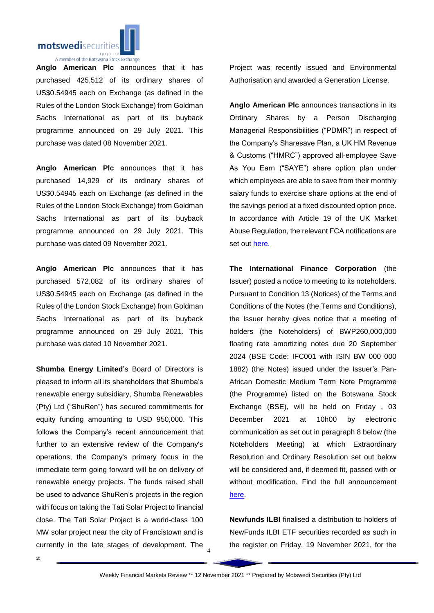

**Anglo American Plc** announces that it has purchased 425,512 of its ordinary shares of US\$0.54945 each on Exchange (as defined in the Rules of the London Stock Exchange) from Goldman Sachs International as part of its buyback programme announced on 29 July 2021. This purchase was dated 08 November 2021.

**Anglo American Plc** announces that it has purchased 14,929 of its ordinary shares of US\$0.54945 each on Exchange (as defined in the Rules of the London Stock Exchange) from Goldman Sachs International as part of its buyback programme announced on 29 July 2021. This purchase was dated 09 November 2021.

**Anglo American Plc** announces that it has purchased 572,082 of its ordinary shares of US\$0.54945 each on Exchange (as defined in the Rules of the London Stock Exchange) from Goldman Sachs International as part of its buyback programme announced on 29 July 2021. This purchase was dated 10 November 2021.

currently in the late stages of development. The  $\frac{4}{4}$ **Shumba Energy Limited**'s Board of Directors is pleased to inform all its shareholders that Shumba's renewable energy subsidiary, Shumba Renewables (Pty) Ltd ("ShuRen") has secured commitments for equity funding amounting to USD 950,000. This follows the Company's recent announcement that further to an extensive review of the Company's operations, the Company's primary focus in the immediate term going forward will be on delivery of renewable energy projects. The funds raised shall be used to advance ShuRen's projects in the region with focus on taking the Tati Solar Project to financial close. The Tati Solar Project is a world-class 100 MW solar project near the city of Francistown and is

Project was recently issued and Environmental Authorisation and awarded a Generation License.

**Anglo American Plc** announces transactions in its Ordinary Shares by a Person Discharging Managerial Responsibilities ("PDMR") in respect of the Company's Sharesave Plan, a UK HM Revenue & Customs ("HMRC") approved all-employee Save As You Earn ("SAYE") share option plan under which employees are able to save from their monthly salary funds to exercise share options at the end of the savings period at a fixed discounted option price. In accordance with Article 19 of the UK Market Abuse Regulation, the relevant FCA notifications are set out [here.](https://apis.bse.co.bw/storage/disclosures/11/2021/2521.pdf)

**The International Finance Corporation** (the Issuer) posted a notice to meeting to its noteholders. Pursuant to Condition 13 (Notices) of the Terms and Conditions of the Notes (the Terms and Conditions), the Issuer hereby gives notice that a meeting of holders (the Noteholders) of BWP260,000,000 floating rate amortizing notes due 20 September 2024 (BSE Code: IFC001 with ISIN BW 000 000 1882) (the Notes) issued under the Issuer's Pan-African Domestic Medium Term Note Programme (the Programme) listed on the Botswana Stock Exchange (BSE), will be held on Friday , 03 December 2021 at 10h00 by electronic communication as set out in paragraph 8 below (the Noteholders Meeting) at which Extraordinary Resolution and Ordinary Resolution set out below will be considered and, if deemed fit, passed with or without modification. Find the full announcement [here.](https://apis.bse.co.bw/storage/disclosures/11/2021/2522.pdf)

**Newfunds ILBI** finalised a distribution to holders of NewFunds ILBI ETF securities recorded as such in the register on Friday, 19 November 2021, for the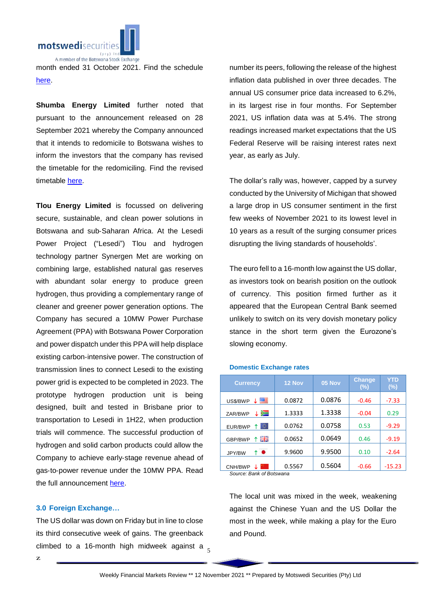

month ended 31 October 2021. Find the schedule [here.](https://apis.bse.co.bw/storage/disclosures/11/2021/2518.pdf)

**Shumba Energy Limited** further noted that pursuant to the announcement released on 28 September 2021 whereby the Company announced that it intends to redomicile to Botswana wishes to inform the investors that the company has revised the timetable for the redomiciling. Find the revised timetable [here.](https://apis.bse.co.bw/storage/disclosures/11/2021/2520.pdf)

**Tlou Energy Limited** is focussed on delivering secure, sustainable, and clean power solutions in Botswana and sub‐Saharan Africa. At the Lesedi Power Project ("Lesedi") Tlou and hydrogen technology partner Synergen Met are working on combining large, established natural gas reserves with abundant solar energy to produce green hydrogen, thus providing a complementary range of cleaner and greener power generation options. The Company has secured a 10MW Power Purchase Agreement (PPA) with Botswana Power Corporation and power dispatch under this PPA will help displace existing carbon‐intensive power. The construction of transmission lines to connect Lesedi to the existing power grid is expected to be completed in 2023. The prototype hydrogen production unit is being designed, built and tested in Brisbane prior to transportation to Lesedi in 1H22, when production trials will commence. The successful production of hydrogen and solid carbon products could allow the Company to achieve early‐stage revenue ahead of gas‐to‐power revenue under the 10MW PPA. Read the full announcement [here.](https://apis.bse.co.bw/storage/disclosures/11/2021/2517.pdf)

## **3.0 Foreign Exchange…**

climbed to a 16-month high midweek against a  $_5$ The US dollar was down on Friday but in line to close its third consecutive week of gains. The greenback

number its peers, following the release of the highest inflation data published in over three decades. The annual US consumer price data increased to 6.2%, in its largest rise in four months. For September 2021, US inflation data was at 5.4%. The strong readings increased market expectations that the US Federal Reserve will be raising interest rates next year, as early as July.

The dollar's rally was, however, capped by a survey conducted by the University of Michigan that showed a large drop in US consumer sentiment in the first few weeks of November 2021 to its lowest level in 10 years as a result of the surging consumer prices disrupting the living standards of households'.

The euro fell to a 16-month low against the US dollar, as investors took on bearish position on the outlook of currency. This position firmed further as it appeared that the European Central Bank seemed unlikely to switch on its very dovish monetary policy stance in the short term given the Eurozone's slowing economy.

## **Domestic Exchange rates**

| <b>Currency</b>          | 12 Nov | 05 Nov | <b>Change</b><br>(%) | YTD<br>(%) |
|--------------------------|--------|--------|----------------------|------------|
| 罂<br>US\$/BWP            | 0.0872 | 0.0876 | $-0.46$              | $-7.33$    |
| Ň<br>ZAR/BWP             | 1.3333 | 1.3338 | $-0.04$              | 0.29       |
| TO.<br>EUR/BWP<br>↑      | 0.0762 | 0.0758 | 0.53                 | $-9.29$    |
| 픪푽<br>GBP/BWP            | 0.0652 | 0.0649 | 0.46                 | $-9.19$    |
| $\bullet$<br>↑<br>JPY/BW | 9.9600 | 9.9500 | 0.10                 | $-2.64$    |
| CNH/BWP                  | 0.5567 | 0.5604 | $-0.66$              | $-15.23$   |

*Source: Bank of Botswana*

The local unit was mixed in the week, weakening against the Chinese Yuan and the US Dollar the most in the week, while making a play for the Euro and Pound.